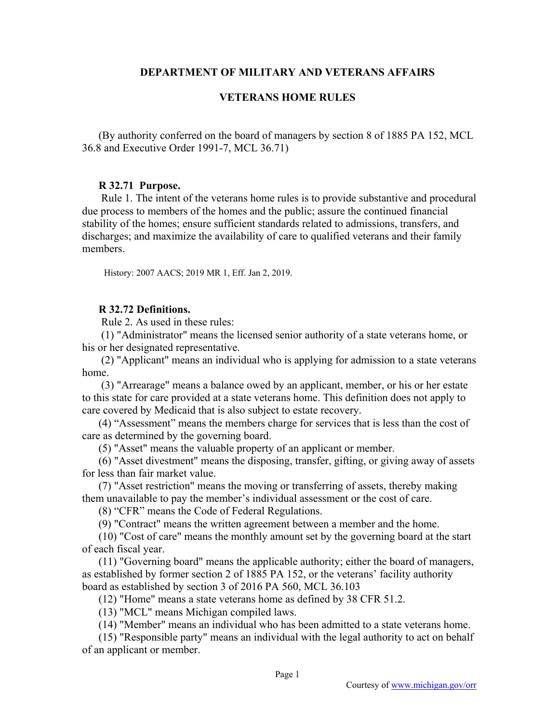# **DEPARTMENT OF MILITARY AND VETERANS AFFAIRS**

# **VETERANS HOME RULES**

(By authority conferred on the board of managers by section 8 of 1885 PA 152, MCL 36.8 and Executive Order 1991-7, MCL 36.71)

# **R 32.71 Purpose.**

 Rule 1. The intent of the veterans home rules is to provide substantive and procedural due process to members of the homes and the public; assure the continued financial stability of the homes; ensure sufficient standards related to admissions, transfers, and discharges; and maximize the availability of care to qualified veterans and their family members.

History: 2007 AACS; 2019 MR 1, Eff. Jan 2, 2019.

# **R 32.72 Definitions.**

Rule 2. As used in these rules:

 (1) "Administrator" means the licensed senior authority of a state veterans home, or his or her designated representative.

 (2) "Applicant" means an individual who is applying for admission to a state veterans home.

 (3) "Arrearage" means a balance owed by an applicant, member, or his or her estate to this state for care provided at a state veterans home. This definition does not apply to care covered by Medicaid that is also subject to estate recovery.

(4) "Assessment" means the members charge for services that is less than the cost of care as determined by the governing board.

(5) "Asset" means the valuable property of an applicant or member.

(6) "Asset divestment" means the disposing, transfer, gifting, or giving away of assets for less than fair market value.

(7) "Asset restriction" means the moving or transferring of assets, thereby making them unavailable to pay the member's individual assessment or the cost of care.

(8) "CFR" means the Code of Federal Regulations.

(9) "Contract" means the written agreement between a member and the home.

(10) "Cost of care" means the monthly amount set by the governing board at the start of each fiscal year.

(11) "Governing board" means the applicable authority; either the board of managers, as established by former section 2 of 1885 PA 152, or the veterans' facility authority board as established by section 3 of 2016 PA 560, MCL 36.103

(12) "Home" means a state veterans home as defined by 38 CFR 51.2.

(13) "MCL" means Michigan compiled laws.

(14) "Member" means an individual who has been admitted to a state veterans home.

(15) "Responsible party" means an individual with the legal authority to act on behalf of an applicant or member.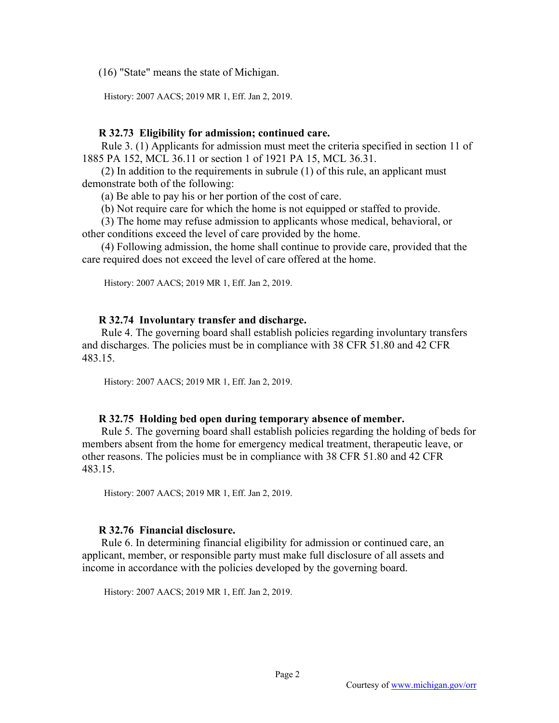(16) "State" means the state of Michigan.

History: 2007 AACS; 2019 MR 1, Eff. Jan 2, 2019.

## **R 32.73 Eligibility for admission; continued care.**

 Rule 3. (1) Applicants for admission must meet the criteria specified in section 11 of 1885 PA 152, MCL 36.11 or section 1 of 1921 PA 15, MCL 36.31.

 (2) In addition to the requirements in subrule (1) of this rule, an applicant must demonstrate both of the following:

(a) Be able to pay his or her portion of the cost of care.

(b) Not require care for which the home is not equipped or staffed to provide.

 (3) The home may refuse admission to applicants whose medical, behavioral, or other conditions exceed the level of care provided by the home.

 (4) Following admission, the home shall continue to provide care, provided that the care required does not exceed the level of care offered at the home.

History: 2007 AACS; 2019 MR 1, Eff. Jan 2, 2019.

## **R 32.74 Involuntary transfer and discharge.**

 Rule 4. The governing board shall establish policies regarding involuntary transfers and discharges. The policies must be in compliance with 38 CFR 51.80 and 42 CFR 483.15.

History: 2007 AACS; 2019 MR 1, Eff. Jan 2, 2019.

### **R 32.75 Holding bed open during temporary absence of member.**

 Rule 5. The governing board shall establish policies regarding the holding of beds for members absent from the home for emergency medical treatment, therapeutic leave, or other reasons. The policies must be in compliance with 38 CFR 51.80 and 42 CFR 483.15.

History: 2007 AACS; 2019 MR 1, Eff. Jan 2, 2019.

# **R 32.76 Financial disclosure.**

 Rule 6. In determining financial eligibility for admission or continued care, an applicant, member, or responsible party must make full disclosure of all assets and income in accordance with the policies developed by the governing board.

History: 2007 AACS; 2019 MR 1, Eff. Jan 2, 2019.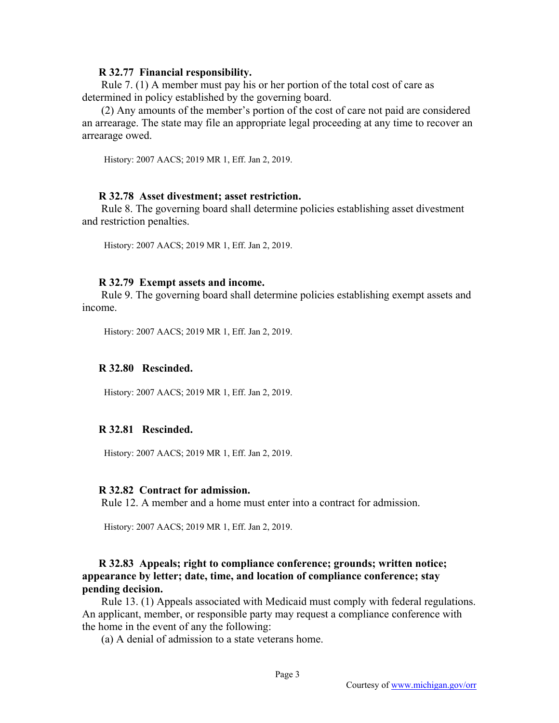#### **R 32.77 Financial responsibility.**

 Rule 7. (1) A member must pay his or her portion of the total cost of care as determined in policy established by the governing board.

 (2) Any amounts of the member's portion of the cost of care not paid are considered an arrearage. The state may file an appropriate legal proceeding at any time to recover an arrearage owed.

History: 2007 AACS; 2019 MR 1, Eff. Jan 2, 2019.

### **R 32.78 Asset divestment; asset restriction.**

 Rule 8. The governing board shall determine policies establishing asset divestment and restriction penalties.

History: 2007 AACS; 2019 MR 1, Eff. Jan 2, 2019.

#### **R 32.79 Exempt assets and income.**

 Rule 9. The governing board shall determine policies establishing exempt assets and income.

History: 2007 AACS; 2019 MR 1, Eff. Jan 2, 2019.

#### **R 32.80 Rescinded.**

History: 2007 AACS; 2019 MR 1, Eff. Jan 2, 2019.

## **R 32.81 Rescinded.**

History: 2007 AACS; 2019 MR 1, Eff. Jan 2, 2019.

#### **R 32.82 Contract for admission.**

Rule 12. A member and a home must enter into a contract for admission.

History: 2007 AACS; 2019 MR 1, Eff. Jan 2, 2019.

# **R 32.83 Appeals; right to compliance conference; grounds; written notice; appearance by letter; date, time, and location of compliance conference; stay pending decision.**

 Rule 13. (1) Appeals associated with Medicaid must comply with federal regulations. An applicant, member, or responsible party may request a compliance conference with the home in the event of any the following:

(a) A denial of admission to a state veterans home.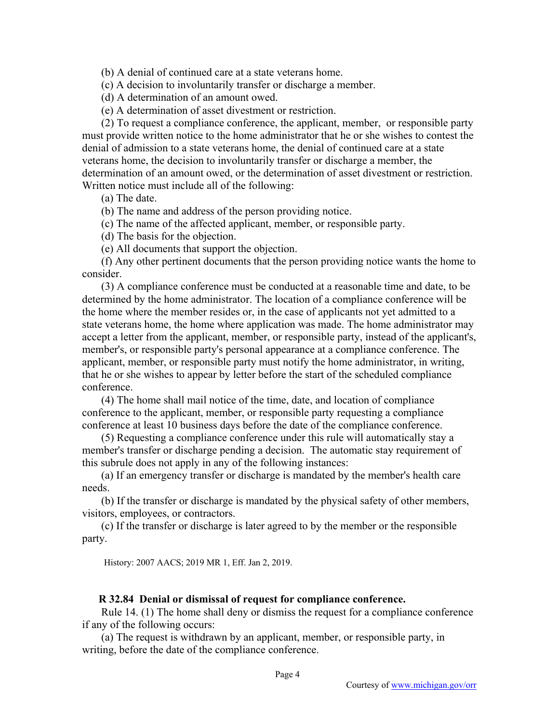(b) A denial of continued care at a state veterans home.

(c) A decision to involuntarily transfer or discharge a member.

(d) A determination of an amount owed.

(e) A determination of asset divestment or restriction.

 (2) To request a compliance conference, the applicant, member, or responsible party must provide written notice to the home administrator that he or she wishes to contest the denial of admission to a state veterans home, the denial of continued care at a state veterans home, the decision to involuntarily transfer or discharge a member, the determination of an amount owed, or the determination of asset divestment or restriction. Written notice must include all of the following:

(a) The date.

(b) The name and address of the person providing notice.

(c) The name of the affected applicant, member, or responsible party.

(d) The basis for the objection.

(e) All documents that support the objection.

 (f) Any other pertinent documents that the person providing notice wants the home to consider.

 (3) A compliance conference must be conducted at a reasonable time and date, to be determined by the home administrator. The location of a compliance conference will be the home where the member resides or, in the case of applicants not yet admitted to a state veterans home, the home where application was made. The home administrator may accept a letter from the applicant, member, or responsible party, instead of the applicant's, member's, or responsible party's personal appearance at a compliance conference. The applicant, member, or responsible party must notify the home administrator, in writing, that he or she wishes to appear by letter before the start of the scheduled compliance conference.

 (4) The home shall mail notice of the time, date, and location of compliance conference to the applicant, member, or responsible party requesting a compliance conference at least 10 business days before the date of the compliance conference.

 (5) Requesting a compliance conference under this rule will automatically stay a member's transfer or discharge pending a decision. The automatic stay requirement of this subrule does not apply in any of the following instances:

 (a) If an emergency transfer or discharge is mandated by the member's health care needs.

 (b) If the transfer or discharge is mandated by the physical safety of other members, visitors, employees, or contractors.

 (c) If the transfer or discharge is later agreed to by the member or the responsible party.

History: 2007 AACS; 2019 MR 1, Eff. Jan 2, 2019.

## **R 32.84 Denial or dismissal of request for compliance conference.**

 Rule 14. (1) The home shall deny or dismiss the request for a compliance conference if any of the following occurs:

 (a) The request is withdrawn by an applicant, member, or responsible party, in writing, before the date of the compliance conference.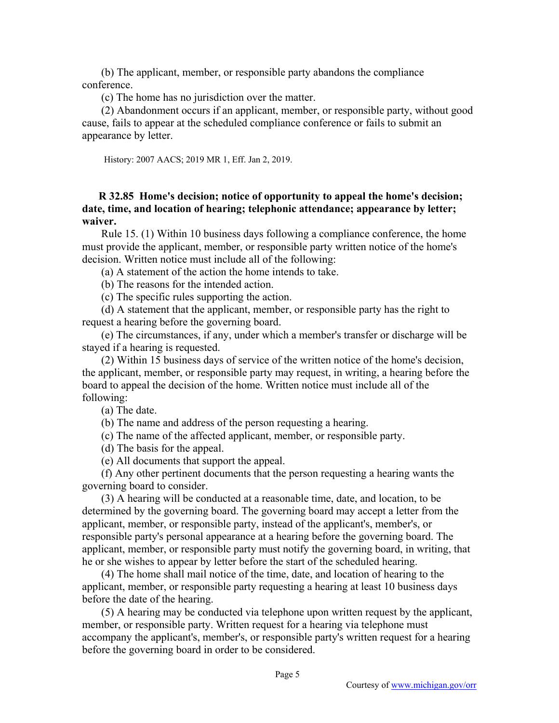(b) The applicant, member, or responsible party abandons the compliance conference.

(c) The home has no jurisdiction over the matter.

 (2) Abandonment occurs if an applicant, member, or responsible party, without good cause, fails to appear at the scheduled compliance conference or fails to submit an appearance by letter.

History: 2007 AACS; 2019 MR 1, Eff. Jan 2, 2019.

# **R 32.85 Home's decision; notice of opportunity to appeal the home's decision; date, time, and location of hearing; telephonic attendance; appearance by letter; waiver.**

 Rule 15. (1) Within 10 business days following a compliance conference, the home must provide the applicant, member, or responsible party written notice of the home's decision. Written notice must include all of the following:

(a) A statement of the action the home intends to take.

(b) The reasons for the intended action.

(c) The specific rules supporting the action.

 (d) A statement that the applicant, member, or responsible party has the right to request a hearing before the governing board.

 (e) The circumstances, if any, under which a member's transfer or discharge will be stayed if a hearing is requested.

 (2) Within 15 business days of service of the written notice of the home's decision, the applicant, member, or responsible party may request, in writing, a hearing before the board to appeal the decision of the home. Written notice must include all of the following:

(a) The date.

(b) The name and address of the person requesting a hearing.

(c) The name of the affected applicant, member, or responsible party.

(d) The basis for the appeal.

(e) All documents that support the appeal.

 (f) Any other pertinent documents that the person requesting a hearing wants the governing board to consider.

 (3) A hearing will be conducted at a reasonable time, date, and location, to be determined by the governing board. The governing board may accept a letter from the applicant, member, or responsible party, instead of the applicant's, member's, or responsible party's personal appearance at a hearing before the governing board. The applicant, member, or responsible party must notify the governing board, in writing, that he or she wishes to appear by letter before the start of the scheduled hearing.

 (4) The home shall mail notice of the time, date, and location of hearing to the applicant, member, or responsible party requesting a hearing at least 10 business days before the date of the hearing.

 (5) A hearing may be conducted via telephone upon written request by the applicant, member, or responsible party. Written request for a hearing via telephone must accompany the applicant's, member's, or responsible party's written request for a hearing before the governing board in order to be considered.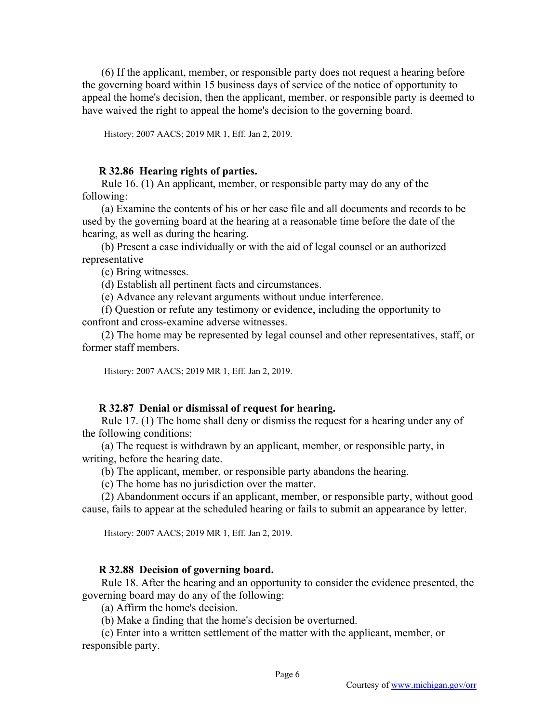(6) If the applicant, member, or responsible party does not request a hearing before the governing board within 15 business days of service of the notice of opportunity to appeal the home's decision, then the applicant, member, or responsible party is deemed to have waived the right to appeal the home's decision to the governing board.

History: 2007 AACS; 2019 MR 1, Eff. Jan 2, 2019.

### **R 32.86 Hearing rights of parties.**

 Rule 16. (1) An applicant, member, or responsible party may do any of the following:

 (a) Examine the contents of his or her case file and all documents and records to be used by the governing board at the hearing at a reasonable time before the date of the hearing, as well as during the hearing.

 (b) Present a case individually or with the aid of legal counsel or an authorized representative

(c) Bring witnesses.

(d) Establish all pertinent facts and circumstances.

(e) Advance any relevant arguments without undue interference.

 (f) Question or refute any testimony or evidence, including the opportunity to confront and cross-examine adverse witnesses.

 (2) The home may be represented by legal counsel and other representatives, staff, or former staff members.

History: 2007 AACS; 2019 MR 1, Eff. Jan 2, 2019.

### **R 32.87 Denial or dismissal of request for hearing.**

 Rule 17. (1) The home shall deny or dismiss the request for a hearing under any of the following conditions:

 (a) The request is withdrawn by an applicant, member, or responsible party, in writing, before the hearing date.

(b) The applicant, member, or responsible party abandons the hearing.

(c) The home has no jurisdiction over the matter.

 (2) Abandonment occurs if an applicant, member, or responsible party, without good cause, fails to appear at the scheduled hearing or fails to submit an appearance by letter.

History: 2007 AACS; 2019 MR 1, Eff. Jan 2, 2019.

#### **R 32.88 Decision of governing board.**

 Rule 18. After the hearing and an opportunity to consider the evidence presented, the governing board may do any of the following:

(a) Affirm the home's decision.

(b) Make a finding that the home's decision be overturned.

 (c) Enter into a written settlement of the matter with the applicant, member, or responsible party.